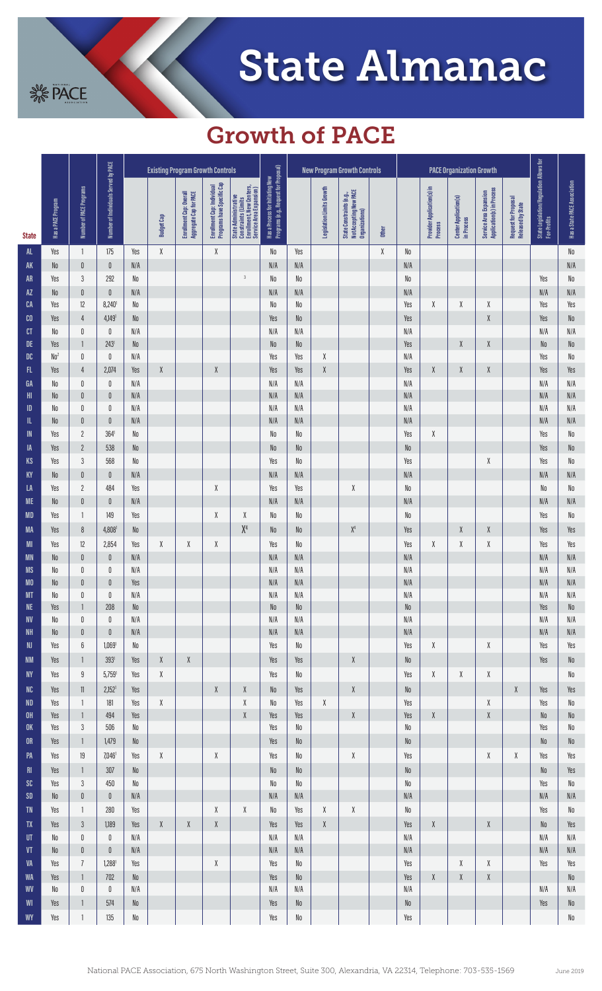

## Growth of PACE

**SACE** 

|                             | Has a PACE Program     | Number of PACE Programs     | Number of Individuals Served by PACE | <b>Existing Program Growth Controls</b> |                                                               |                                                     |                                                                                                            |                                                                                                            |                                                                           | <b>New Program Growth Controls</b> |                                                               |                                                                                                            |        | <b>PACE Organization Growth</b> |                                              |                                                     |                                                                                                            |                                           |                                                        |                                                    |
|-----------------------------|------------------------|-----------------------------|--------------------------------------|-----------------------------------------|---------------------------------------------------------------|-----------------------------------------------------|------------------------------------------------------------------------------------------------------------|------------------------------------------------------------------------------------------------------------|---------------------------------------------------------------------------|------------------------------------|---------------------------------------------------------------|------------------------------------------------------------------------------------------------------------|--------|---------------------------------|----------------------------------------------|-----------------------------------------------------|------------------------------------------------------------------------------------------------------------|-------------------------------------------|--------------------------------------------------------|----------------------------------------------------|
| <b>State</b>                |                        |                             |                                      |                                         | <b>Budget Cap</b>                                             | Enrollment Cap: Overall<br>Aggregate Cap for PACE   | Programs have Specific Cap<br>Enrollment Cap: Individual                                                   | State Administrative<br>Constraints (Limits<br>Enrollment, New Centers,<br>Service Area Expansion)         | Programs (e.g., Request for Proposal)<br>Has a Process for Initiating New |                                    | Legislation Limits Growth                                     | State Constraints (e.g.,<br>Not Accepting New PACE<br>Organizations)                                       | Other  |                                 | Provider Application(s) in<br><b>Process</b> | <b>Center Application(s)</b><br>in Process          | Application(s) in Process<br>Service Area Expansion                                                        | Request for Proposal<br>Released by State | State Legislation/Regulation Allows for<br>For-Profits | <b>Has a State PACE Association</b>                |
| AL                          | Yes                    | $\overline{\phantom{a}}$    | 175                                  | Yes                                     | χ                                                             |                                                     | $\pmb{\chi}$                                                                                               |                                                                                                            | No                                                                        | Yes                                |                                                               |                                                                                                            | $\chi$ | No                              |                                              |                                                     |                                                                                                            |                                           |                                                        | $\mathsf{N}\mathsf{0}$                             |
| <b>AK</b>                   | No                     | $\mathbf 0$                 | $\pmb{0}$                            | N/A                                     |                                                               |                                                     |                                                                                                            |                                                                                                            | N/A                                                                       | N/A                                |                                                               |                                                                                                            |        | N/A                             |                                              |                                                     |                                                                                                            |                                           |                                                        | N/A                                                |
| <b>AR</b>                   | Yes                    | $\sqrt{3}$                  | 292                                  | N <sub>0</sub>                          |                                                               |                                                     |                                                                                                            | $\overline{3}$                                                                                             | No                                                                        | ${\sf No}$                         |                                                               |                                                                                                            |        | No                              |                                              |                                                     |                                                                                                            |                                           | Yes                                                    | $\mathsf{N}\mathsf{0}$                             |
| <b>AZ</b>                   | No                     | $\mathbf 0$                 | $\pmb{0}$                            | N/A                                     |                                                               |                                                     |                                                                                                            |                                                                                                            | N/A                                                                       | N/A                                |                                                               |                                                                                                            |        | N/A                             |                                              |                                                     |                                                                                                            |                                           | $\mathsf{N}/\mathsf{A}$                                | N/A                                                |
| CA                          | Yes                    | $12\,$                      | $8,240$ <sup>1</sup>                 | N <sub>0</sub>                          |                                                               |                                                     |                                                                                                            |                                                                                                            | $\mathsf{N}\mathsf{0}$                                                    | ${\sf No}$                         |                                                               |                                                                                                            |        | Yes                             | χ                                            | X                                                   | χ                                                                                                          |                                           | Yes                                                    | Yes                                                |
| C <sub>0</sub>              | Yes                    | $\overline{4}$              | $4,149$ <sup>1</sup>                 | N <sub>0</sub>                          |                                                               |                                                     |                                                                                                            |                                                                                                            | Yes                                                                       | $\rm\,N0$                          |                                                               |                                                                                                            |        | Yes                             |                                              |                                                     | $\pmb{\chi}$                                                                                               |                                           | Yes                                                    | $\rm No$                                           |
| cr                          | No                     | $\mathbb 0$                 | 0                                    | N/A                                     |                                                               |                                                     |                                                                                                            |                                                                                                            | N/A                                                                       | N/A                                |                                                               |                                                                                                            |        | N/A                             |                                              |                                                     |                                                                                                            |                                           | N/A                                                    | N/A                                                |
| DE<br>DC                    | Yes<br>No <sup>2</sup> | $\mathbf{1}$<br>$\mathbb 0$ | 243 <sup>1</sup><br>0                | N <sub>0</sub><br>N/A                   |                                                               |                                                     |                                                                                                            |                                                                                                            | N <sub>0</sub><br>Yes                                                     | No<br>Yes                          | χ                                                             |                                                                                                            |        | Yes<br>N/A                      |                                              | Χ                                                   | X                                                                                                          |                                           | $\rm\,N0$<br>Yes                                       | $\rm No$<br>$\mathsf{N}\mathsf{0}$                 |
| FL.                         | Yes                    | $\overline{4}$              | 2,074                                | Yes                                     | X                                                             |                                                     | $\pmb{\chi}$                                                                                               |                                                                                                            | Yes                                                                       | Yes                                | $\chi$                                                        |                                                                                                            |        | Yes                             | $\chi$                                       | X                                                   | Χ                                                                                                          |                                           | Yes                                                    | Yes                                                |
| GA                          | No                     | $\mathbf 0$                 | 0                                    | N/A                                     |                                                               |                                                     |                                                                                                            |                                                                                                            | N/A                                                                       | N/A                                |                                                               |                                                                                                            |        | N/A                             |                                              |                                                     |                                                                                                            |                                           | N/A                                                    | N/A                                                |
| H <sub>II</sub>             | No                     | $\mathbb 0$                 | $\pmb{0}$                            | N/A                                     |                                                               |                                                     |                                                                                                            |                                                                                                            | $\mathsf{N}/\mathsf{A}$                                                   | N/A                                |                                                               |                                                                                                            |        | N/A                             |                                              |                                                     |                                                                                                            |                                           | $\mathsf{N}/\mathsf{A}$                                | $\mathsf{N}/\mathsf{A}$                            |
| ID                          | No                     | $\mathbb 0$                 | 0                                    | N/A                                     |                                                               |                                                     |                                                                                                            |                                                                                                            | N/A                                                                       | N/A                                |                                                               |                                                                                                            |        | N/A                             |                                              |                                                     |                                                                                                            |                                           | N/A                                                    | N/A                                                |
| IL                          | No                     | $\mathbb 0$                 | $\pmb{0}$                            | N/A                                     |                                                               |                                                     |                                                                                                            |                                                                                                            | N/A                                                                       | N/A                                |                                                               |                                                                                                            |        | N/A                             |                                              |                                                     |                                                                                                            |                                           | N/A                                                    | N/A                                                |
| $\blacksquare$              | Yes                    | $\overline{2}$              | 364'                                 | No                                      |                                                               |                                                     |                                                                                                            |                                                                                                            | $\mathsf{N}\mathsf{0}$                                                    | $\mathsf{N}\mathsf{0}$             |                                                               |                                                                                                            |        | Yes                             | χ                                            |                                                     |                                                                                                            |                                           | Yes                                                    | $\mathsf{N}\mathsf{0}$                             |
| IA                          | Yes                    | $\overline{2}$              | 538                                  | N <sub>0</sub>                          |                                                               |                                                     |                                                                                                            |                                                                                                            | N <sub>0</sub>                                                            | No                                 |                                                               |                                                                                                            |        | No                              |                                              |                                                     |                                                                                                            |                                           | Yes                                                    | ${\sf No}$                                         |
| <b>KS</b>                   | Yes                    | $\mathfrak{Z}$              | 568                                  | No                                      |                                                               |                                                     |                                                                                                            |                                                                                                            | Yes                                                                       | ${\sf No}$                         |                                                               |                                                                                                            |        | Yes                             |                                              |                                                     | X                                                                                                          |                                           | Yes                                                    | ${\sf No}$                                         |
| KY                          | No                     | $\mathbf 0$                 | $\theta$                             | N/A                                     |                                                               |                                                     |                                                                                                            |                                                                                                            | N/A                                                                       | N/A                                |                                                               |                                                                                                            |        | N/A                             |                                              |                                                     |                                                                                                            |                                           | N/A                                                    | N/A                                                |
| LA                          | Yes                    | $\sqrt{2}$                  | 484                                  | Yes                                     |                                                               |                                                     | X                                                                                                          |                                                                                                            | Yes                                                                       | Yes                                |                                                               | $\chi$                                                                                                     |        | No                              |                                              |                                                     |                                                                                                            |                                           | No                                                     | ${\sf No}$                                         |
| <b>ME</b>                   | No                     | $\mathbb 0$                 | $\pmb{0}$                            | N/A                                     |                                                               |                                                     |                                                                                                            |                                                                                                            | $\mathsf{N}/\mathsf{A}$                                                   | N/A                                |                                                               |                                                                                                            |        | N/A                             |                                              |                                                     |                                                                                                            |                                           | N/A                                                    | N/A                                                |
| <b>MD</b>                   | Yes                    | $\mathbf{1}$                | 149                                  | Yes                                     |                                                               |                                                     | X                                                                                                          | χ                                                                                                          | No                                                                        | No                                 |                                                               |                                                                                                            |        | No                              |                                              |                                                     |                                                                                                            |                                           | Yes                                                    | $\mathsf{N}\mathsf{0}$                             |
| <b>MA</b>                   | Yes                    | $8\,$                       | 4,808                                | N <sub>0</sub>                          |                                                               |                                                     |                                                                                                            | X <sup>4</sup>                                                                                             | No                                                                        | No                                 |                                                               | $\mathsf{X}^4$                                                                                             |        | Yes                             |                                              | Χ                                                   | X                                                                                                          |                                           | Yes                                                    | Yes                                                |
| <b>MI</b>                   | Yes                    | $12\,$                      | 2,854                                | Yes                                     | $\chi$                                                        | χ                                                   | X                                                                                                          |                                                                                                            | Yes                                                                       | No                                 |                                                               |                                                                                                            |        | Yes                             | χ                                            | X                                                   | χ                                                                                                          |                                           | Yes                                                    | Yes                                                |
| <b>MN</b>                   | No                     | $\mathbb 0$                 | $\pmb{0}$                            | N/A                                     |                                                               |                                                     |                                                                                                            |                                                                                                            | $\mathsf{N}/\mathsf{A}$                                                   | N/A                                |                                                               |                                                                                                            |        | N/A                             |                                              |                                                     |                                                                                                            |                                           | N/A                                                    | $\mathsf{N}/\mathsf{A}$                            |
| <b>MS</b>                   | No                     | $\mathbb 0$                 | 0                                    | N/A                                     |                                                               |                                                     |                                                                                                            |                                                                                                            | $\mathsf{N}/\mathsf{A}$                                                   | N/A                                |                                                               |                                                                                                            |        | N/A                             |                                              |                                                     |                                                                                                            |                                           | N/A                                                    | $\mathsf{N}/\mathsf{A}$                            |
| M <sub>0</sub><br><b>MT</b> | No<br>No               | $\mathbb 0$<br>$\mathbb 0$  | $\pmb{0}$<br>$\mathbf{0}$            | Yes<br>N/A                              |                                                               |                                                     |                                                                                                            |                                                                                                            | $\mathsf{N}/\mathsf{A}$<br>N/A                                            | N/A<br>N/A                         |                                                               |                                                                                                            |        | N/A<br>N/A                      |                                              |                                                     |                                                                                                            |                                           | N/A<br>N/A                                             | $\mathsf{N}/\mathsf{A}$<br>$\mathsf{N}/\mathsf{A}$ |
| <b>NE</b>                   | Yes                    | $\mathbf{1}$                | 208                                  | No                                      |                                                               |                                                     |                                                                                                            |                                                                                                            | $\rm No$                                                                  | No                                 |                                                               |                                                                                                            |        | $\rm\,N0$                       |                                              |                                                     |                                                                                                            |                                           | Yes                                                    | $\mathsf{N}\mathsf{0}$                             |
| <b>NV</b>                   | ${\sf No}$             | $\mathbf 0$                 | $\mathbb 0$                          | N/A                                     |                                                               |                                                     |                                                                                                            |                                                                                                            | $\mathsf{N}/\mathsf{A}$                                                   | N/A                                |                                                               |                                                                                                            |        | N/A                             |                                              |                                                     |                                                                                                            |                                           | N/A                                                    | N/A                                                |
| <b>NH</b>                   | $\rm No$               | $\mathbf 0$                 | $\pmb{0}$                            | $\mathsf{N}/\mathsf{A}$                 |                                                               |                                                     |                                                                                                            |                                                                                                            | $\mathsf{N}/\mathsf{A}$                                                   | N/A                                |                                                               |                                                                                                            |        | $\mathsf{N}/\mathsf{A}$         |                                              |                                                     |                                                                                                            |                                           | $\mathsf{N}/\mathsf{A}$                                | N/A                                                |
| <b>NJ</b>                   | Yes                    | $\boldsymbol{6}$            | $1,069$ <sup>1</sup>                 | No                                      |                                                               |                                                     |                                                                                                            |                                                                                                            | Yes                                                                       | No                                 |                                                               |                                                                                                            |        | Yes                             | X                                            |                                                     | $\chi$                                                                                                     |                                           | Yes                                                    | Yes                                                |
| <b>NM</b>                   | Yes                    | $\mathbf{1}$                | 3931                                 | Yes                                     | $\mathsf{X}% _{0}^{\prime}=\mathsf{X}_{0}^{\prime}$           | $\mathsf{X}% _{0}^{\prime}=\mathsf{X}_{0}^{\prime}$ |                                                                                                            |                                                                                                            | Yes                                                                       | Yes                                |                                                               | $\mathsf{X}% _{0}^{\prime}=\mathsf{X}_{0}^{\prime}$                                                        |        | $\rm No$                        |                                              |                                                     |                                                                                                            |                                           | Yes                                                    | $\rm No$                                           |
| <b>NY</b>                   | Yes                    | $\boldsymbol{9}$            | $5,759$ <sup>1</sup>                 | Yes                                     | $\mathsf{X}% _{T}=\mathsf{Y}_{T}\left( \mathsf{Y}_{T}\right)$ |                                                     |                                                                                                            |                                                                                                            | Yes                                                                       | No                                 |                                                               |                                                                                                            |        | Yes                             | X                                            | $\mathsf{X}% _{0}^{\prime}=\mathsf{X}_{0}^{\prime}$ | $\mathsf{X}% _{0}^{\prime}=\mathsf{X}_{0}^{\prime}$                                                        |                                           |                                                        | No                                                 |
| $\rm NC$                    | Yes                    | $11\,$                      | $2,152$ <sup>1</sup>                 | Yes                                     |                                                               |                                                     | $\mathsf{X}% _{T}=\mathsf{Y}_{T}\left( \mathsf{Y}_{T}\right)$                                              | $\chi$                                                                                                     | $\rm No$                                                                  | Yes                                |                                                               | $\mathsf{X}% _{0}^{\prime}=\mathsf{X}_{0}^{\prime}$                                                        |        | No                              |                                              |                                                     |                                                                                                            | χ                                         | Yes                                                    | Yes                                                |
| <b>ND</b>                   | Yes                    | $\mathbf{1}$                | 181                                  | Yes                                     | $\chi$                                                        |                                                     |                                                                                                            | $\mathsf{X}% _{T}=\mathsf{X}_{T}\!\left( a,b\right) ,\ \mathsf{Y}_{T}=\mathsf{Y}_{T}\!\left( a,b\right) ,$ | $\mathsf{N}\mathsf{0}$                                                    | Yes                                | $\mathsf{X}% _{T}=\mathsf{Y}_{T}\left( \mathsf{Y}_{T}\right)$ |                                                                                                            |        | Yes                             |                                              |                                                     | $\mathsf{X}% _{T}=\mathsf{X}_{T}\!\left( a,b\right) ,\ \mathsf{Y}_{T}=\mathsf{Y}_{T}\!\left( a,b\right) ,$ |                                           | Yes                                                    | $\rm No$                                           |
| OH                          | Yes                    | $\mathbf{1}$                | 494                                  | Yes                                     |                                                               |                                                     |                                                                                                            | $\mathsf{X}% _{0}^{\prime}=\mathsf{X}_{0}^{\prime}$                                                        | Yes                                                                       | Yes                                |                                                               | $\mathsf{X}% _{T}=\mathsf{X}_{T}\!\left( a,b\right) ,\ \mathsf{Y}_{T}=\mathsf{Y}_{T}\!\left( a,b\right) ,$ |        | Yes                             | X                                            |                                                     | $\mathsf{X}% _{T}=\mathsf{X}_{T}\!\left( a,b\right) ,\ \mathsf{Y}_{T}=\mathsf{Y}_{T}\!\left( a,b\right) ,$ |                                           | $\rm\,N0$                                              | $\rm No$                                           |
| OK                          | Yes                    | $3\,$                       | $506\,$                              | No                                      |                                                               |                                                     |                                                                                                            |                                                                                                            | Yes                                                                       | No                                 |                                                               |                                                                                                            |        | $\mathsf{N}\mathsf{0}$          |                                              |                                                     |                                                                                                            |                                           | Yes                                                    | No                                                 |
| <b>OR</b>                   | Yes                    | $\mathbf{1}$                | 1,479                                | No                                      |                                                               |                                                     |                                                                                                            |                                                                                                            | Yes                                                                       | No                                 |                                                               |                                                                                                            |        | $\rm No$                        |                                              |                                                     |                                                                                                            |                                           | $\rm\,N0$                                              | $\rm No$                                           |
| PA                          | Yes                    | $19\,$                      | $7,046$ <sup>1</sup>                 | Yes                                     | $\chi$                                                        |                                                     | $\mathsf{X}% _{T}=\mathsf{X}_{T}\!\left( a,b\right) ,\ \mathsf{Y}_{T}=\mathsf{Y}_{T}\!\left( a,b\right) ,$ |                                                                                                            | Yes                                                                       | No                                 |                                                               | $\mathsf{X}% _{0}^{\prime}=\mathsf{X}_{0}^{\prime}$                                                        |        | Yes                             |                                              |                                                     | $\mathsf{X}% _{0}^{\prime}=\mathsf{X}_{0}^{\prime}$                                                        | $\chi$                                    | Yes                                                    | Yes                                                |
| R <sub>l</sub>              | Yes                    | $\mathbf{1}$                | 307                                  | $\rm No$                                |                                                               |                                                     |                                                                                                            |                                                                                                            | $\rm\,N0$                                                                 | No                                 |                                                               |                                                                                                            |        | $\rm No$                        |                                              |                                                     |                                                                                                            |                                           | $\mathsf{N}\mathsf{0}$                                 | Yes                                                |
| <b>SC</b>                   | Yes                    | $3\,$                       | 450                                  | $\mathsf{N}\mathsf{0}$                  |                                                               |                                                     |                                                                                                            |                                                                                                            | $\mathsf{N}\mathsf{0}$                                                    | No                                 |                                                               |                                                                                                            |        | $\mathsf{N}\mathsf{0}$          |                                              |                                                     |                                                                                                            |                                           | Yes                                                    | $\mathsf{N}\mathsf{0}$                             |
| <b>SD</b>                   | $\mathsf{N}\mathsf{0}$ | $\mathbb 0$                 | $\pmb{0}$                            | $\mathsf{N}/\mathsf{A}$                 |                                                               |                                                     |                                                                                                            |                                                                                                            | $\mathsf{N}/\mathsf{A}$                                                   | N/A                                |                                                               |                                                                                                            |        | N/A                             |                                              |                                                     |                                                                                                            |                                           | N/A                                                    | N/A                                                |
| <b>TN</b>                   | Yes                    | $\mathbf{1}$                | 280                                  | Yes                                     |                                                               |                                                     | Χ                                                                                                          | χ                                                                                                          | $\mathsf{N}\mathsf{0}$                                                    | Yes                                | χ                                                             | $\mathsf{X}% _{0}^{\prime}=\mathsf{X}_{0}^{\prime}$                                                        |        | $\mathsf{N}\mathsf{0}$          |                                              |                                                     |                                                                                                            |                                           | Yes                                                    | $\rm No$                                           |
| <b>TX</b>                   | Yes                    | $\mathfrak{Z}$              | 1,189                                | Yes                                     | $\mathsf{X}% _{0}^{\prime}=\mathsf{X}_{0}^{\prime}$           | $\mathsf{X}% _{0}^{\prime}=\mathsf{X}_{0}^{\prime}$ | $\mathsf{X}% _{T}=\mathsf{Y}_{T}\left( \mathsf{Y}_{T}\right)$                                              |                                                                                                            | Yes                                                                       | Yes                                | $\chi$                                                        |                                                                                                            |        | Yes                             | X                                            |                                                     | $\mathsf{X}% _{T}=\mathsf{X}_{T}\!\left( a,b\right) ,\ \mathsf{Y}_{T}=\mathsf{Y}_{T}\!\left( a,b\right) ,$ |                                           | $\rm\,N0$                                              | Yes                                                |
| UT                          | No                     | $\mathbf 0$                 | 0                                    | N/A                                     |                                                               |                                                     |                                                                                                            |                                                                                                            | N/A                                                                       | N/A                                |                                                               |                                                                                                            |        | N/A                             |                                              |                                                     |                                                                                                            |                                           | N/A                                                    | N/A                                                |
| VT                          | $\mathsf{N}\mathsf{0}$ | $\mathbf 0$                 | $\pmb{0}$                            | $\mathsf{N}/\mathsf{A}$                 |                                                               |                                                     |                                                                                                            |                                                                                                            | $\mathsf{N}/\mathsf{A}$                                                   | N/A                                |                                                               |                                                                                                            |        | $\mathsf{N}/\mathsf{A}$         |                                              |                                                     |                                                                                                            |                                           | $\mathsf{N}/\mathsf{A}$                                | N/A                                                |
| VA                          | Yes                    | $\overline{1}$              | 1,288                                | Yes                                     |                                                               |                                                     | $\mathsf{X}% _{T}=\mathsf{X}_{T}\!\left( a,b\right) ,\ \mathsf{Y}_{T}=\mathsf{Y}_{T}\!\left( a,b\right) ,$ |                                                                                                            | Yes                                                                       | No                                 |                                                               |                                                                                                            |        | Yes                             |                                              | χ                                                   | $\mathsf{X}% _{T}=\mathsf{X}_{T}\!\left( a,b\right) ,\ \mathsf{Y}_{T}=\mathsf{Y}_{T}\!\left( a,b\right) ,$ |                                           | Yes                                                    | Yes                                                |
| <b>WA</b><br>WV             | Yes<br>No              | $\mathbf{1}$<br>$\mathbf 0$ | 702<br>$\pmb{0}$                     | $\,$ No $\,$<br>N/A                     |                                                               |                                                     |                                                                                                            |                                                                                                            | Yes<br>N/A                                                                | No<br>N/A                          |                                                               |                                                                                                            |        | Yes<br>N/A                      | X                                            | $\mathsf{X}% _{0}^{\prime}=\mathsf{X}_{0}^{\prime}$ | $\mathsf{X}% _{T}=\mathsf{X}_{T}\!\left( a,b\right) ,\ \mathsf{Y}_{T}=\mathsf{Y}_{T}\!\left( a,b\right) ,$ |                                           | N/A                                                    | $\rm No$<br>N/A                                    |
| WI                          | Yes                    | $\mathbf{1}$                | 574                                  | ${\sf No}$                              |                                                               |                                                     |                                                                                                            |                                                                                                            | Yes                                                                       | $\rm No$                           |                                                               |                                                                                                            |        | ${\sf No}$                      |                                              |                                                     |                                                                                                            |                                           | Yes                                                    | $\rm No$                                           |
| WY                          | Yes                    | $\mathbf{1}$                | 135                                  | ${\sf No}$                              |                                                               |                                                     |                                                                                                            |                                                                                                            | Yes                                                                       | $\mathsf{N}\mathsf{0}$             |                                                               |                                                                                                            |        | Yes                             |                                              |                                                     |                                                                                                            |                                           |                                                        | ${\sf No}$                                         |
|                             |                        |                             |                                      |                                         |                                                               |                                                     |                                                                                                            |                                                                                                            |                                                                           |                                    |                                                               |                                                                                                            |        |                                 |                                              |                                                     |                                                                                                            |                                           |                                                        |                                                    |